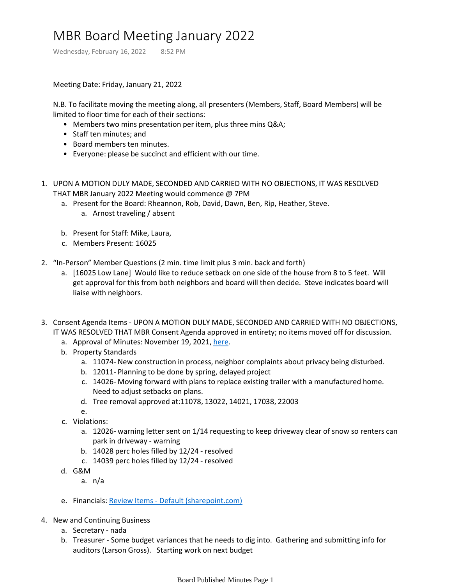## MBR Board Meeting January 2022

Wednesday, February 16, 2022 8:52 PM

Meeting Date: Friday, January 21, 2022

N.B. To facilitate moving the meeting along, all presenters (Members, Staff, Board Members) will be limited to floor time for each of their sections:

- Members two mins presentation per item, plus three mins Q&A;
- Staff ten minutes; and
- Board members ten minutes.
- Everyone: please be succinct and efficient with our time.
- 1. UPON A MOTION DULY MADE, SECONDED AND CARRIED WITH NO OBJECTIONS, IT WAS RESOLVED THAT MBR January 2022 Meeting would commence @ 7PM
	- a. Present for the Board: Rheannon, Rob, David, Dawn, Ben, Rip, Heather, Steve.
		- a. Arnost traveling / absent
	- b. Present for Staff: Mike, Laura,
	- c. Members Present: 16025
- 2. "In-Person" Member Questions (2 min. time limit plus 3 min. back and forth)
	- a. [16025 Low Lane] Would like to reduce setback on one side of the house from 8 to 5 feet. Will get approval for this from both neighbors and board will then decide. Steve indicates board will liaise with neighbors.
- 3. Consent Agenda Items UPON A MOTION DULY MADE, SECONDED AND CARRIED WITH NO OBJECTIONS, IT WAS RESOLVED THAT MBR Consent Agenda approved in entirety; no items moved off for discussion.
	- a. Approval of Minutes: November 19, 2021, [here](onenote:Board%20Published%20Minutes.one#MBR%20Board%20Meeting%20November%202021§ion-id={0DB4B39E-9E2E-4A3A-BBBB-5153A31F305F}&page-id={BBBE24A5-AD7B-44DA-87C8-4BC14557DA58}&end&base-path=https://mtbakerrim.sharepoint.com/sites/mbr_board_only/SiteAssets/MBR_BOARD_ONLY_GROUP%20Notebook).
	- b. Property Standards
		- a. 11074- New construction in process, neighbor complaints about privacy being disturbed.
		- b. 12011- Planning to be done by spring, delayed project
		- 14026- Moving forward with plans to replace existing trailer with a manufactured home. c. Need to adjust setbacks on plans.
		- d. Tree removal approved at:11078, 13022, 14021, 17038, 22003
		- e.
	- c. Violations:
		- a. 12026- warning letter sent on 1/14 requesting to keep driveway clear of snow so renters can park in driveway - warning
		- b. 14028 perc holes filled by 12/24 resolved
		- c. 14039 perc holes filled by 12/24 resolved
	- G&M d.
		- a. n/a
	- e. Financials: Review Items [Default \(sharepoint.com\)](https://mtbakerrim.sharepoint.com/sites/mbrboard/ReviewItems/AllItems.aspx?RootFolder=%2Fsites%2Fmbrboard%2FShared%20Documents%2FFINANCIALS%2F2021%20Monthly%20Financials&FolderCTID=0x012000B6AE82B15273DD48A386BCF4CF69FE3D&View=%7BF3330C0A%2DC1EA%2D4758%2D8FF7%2D6FB14D754F39%7D)
- 4. New and Continuing Business
	- a. Secretary nada
	- Treasurer Some budget variances that he needs to dig into. Gathering and submitting info for b. auditors (Larson Gross). Starting work on next budget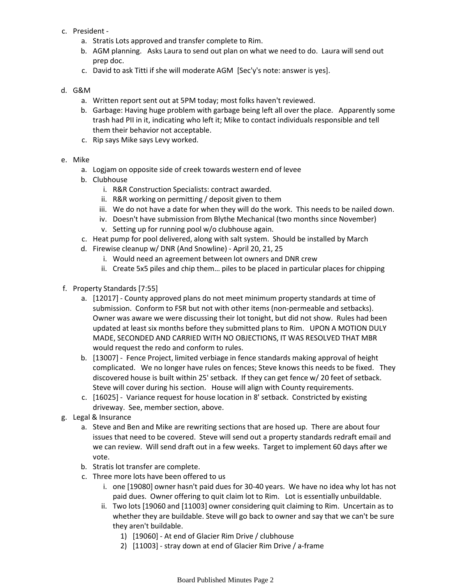- c. President
	- a. Stratis Lots approved and transfer complete to Rim.
	- b. AGM planning. Asks Laura to send out plan on what we need to do. Laura will send out prep doc.
	- c. David to ask Titti if she will moderate AGM [Sec'y's note: answer is yes].

## G&M d.

- a. Written report sent out at 5PM today; most folks haven't reviewed.
- b. Garbage: Having huge problem with garbage being left all over the place. Apparently some trash had PII in it, indicating who left it; Mike to contact individuals responsible and tell them their behavior not acceptable.
- c. Rip says Mike says Levy worked.
- Mike e.
	- a. Logjam on opposite side of creek towards western end of levee
	- b. Clubhouse
		- i. R&R Construction Specialists: contract awarded.
		- ii. R&R working on permitting / deposit given to them
		- iii. We do not have a date for when they will do the work. This needs to be nailed down.
		- iv. Doesn't have submission from Blythe Mechanical (two months since November)
		- v. Setting up for running pool w/o clubhouse again.
	- c. Heat pump for pool delivered, along with salt system. Should be installed by March
	- d. Firewise cleanup w/ DNR (And Snowline) April 20, 21, 25
		- i. Would need an agreement between lot owners and DNR crew
		- ii. Create 5x5 piles and chip them… piles to be placed in particular places for chipping
- f. Property Standards [7:55]
	- a. [12017] County approved plans do not meet minimum property standards at time of submission. Conform to FSR but not with other items (non-permeable and setbacks). Owner was aware we were discussing their lot tonight, but did not show. Rules had been updated at least six months before they submitted plans to Rim. UPON A MOTION DULY MADE, SECONDED AND CARRIED WITH NO OBJECTIONS, IT WAS RESOLVED THAT MBR would request the redo and conform to rules.
	- b. [13007] Fence Project, limited verbiage in fence standards making approval of height complicated. We no longer have rules on fences; Steve knows this needs to be fixed. They discovered house is built within 25' setback. If they can get fence w/ 20 feet of setback. Steve will cover during his section. House will align with County requirements.
	- c. [16025] Variance request for house location in 8' setback. Constricted by existing driveway. See, member section, above.
- g. Legal & Insurance
	- a. Steve and Ben and Mike are rewriting sections that are hosed up. There are about four issues that need to be covered. Steve will send out a property standards redraft email and we can review. Will send draft out in a few weeks. Target to implement 60 days after we vote.
	- b. Stratis lot transfer are complete.
	- c. Three more lots have been offered to us
		- i. one [19080] owner hasn't paid dues for 30-40 years. We have no idea why lot has not paid dues. Owner offering to quit claim lot to Rim. Lot is essentially unbuildable.
		- ii. Two lots [19060 and [11003] owner considering quit claiming to Rim. Uncertain as to whether they are buildable. Steve will go back to owner and say that we can't be sure they aren't buildable.
			- 1) [19060] At end of Glacier Rim Drive / clubhouse
			- 2) [11003] stray down at end of Glacier Rim Drive / a-frame